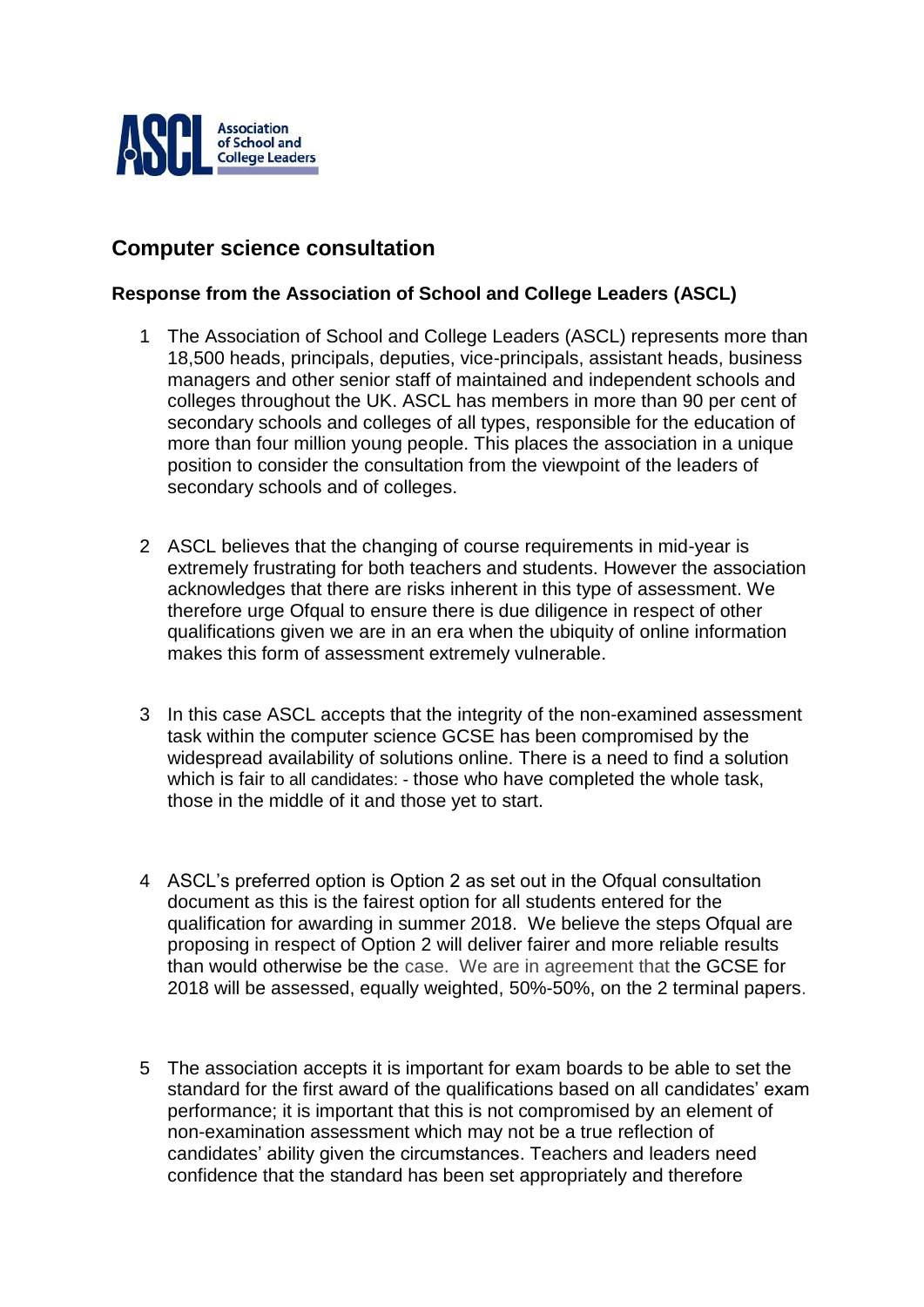

## **Computer science consultation**

## **Response from the Association of School and College Leaders (ASCL)**

- 1 The Association of School and College Leaders (ASCL) represents more than 18,500 heads, principals, deputies, vice-principals, assistant heads, business managers and other senior staff of maintained and independent schools and colleges throughout the UK. ASCL has members in more than 90 per cent of secondary schools and colleges of all types, responsible for the education of more than four million young people. This places the association in a unique position to consider the consultation from the viewpoint of the leaders of secondary schools and of colleges.
- 2 ASCL believes that the changing of course requirements in mid-year is extremely frustrating for both teachers and students. However the association acknowledges that there are risks inherent in this type of assessment. We therefore urge Ofqual to ensure there is due diligence in respect of other qualifications given we are in an era when the ubiquity of online information makes this form of assessment extremely vulnerable.
- 3 In this case ASCL accepts that the integrity of the non-examined assessment task within the computer science GCSE has been compromised by the widespread availability of solutions online. There is a need to find a solution which is fair to all candidates: - those who have completed the whole task, those in the middle of it and those yet to start.
- 4 ASCL's preferred option is Option 2 as set out in the Ofqual consultation document as this is the fairest option for all students entered for the qualification for awarding in summer 2018. We believe the steps Ofqual are proposing in respect of Option 2 will deliver fairer and more reliable results than would otherwise be the case. We are in agreement that the GCSE for 2018 will be assessed, equally weighted, 50%-50%, on the 2 terminal papers.
- 5 The association accepts it is important for exam boards to be able to set the standard for the first award of the qualifications based on all candidates' exam performance; it is important that this is not compromised by an element of non-examination assessment which may not be a true reflection of candidates' ability given the circumstances. Teachers and leaders need confidence that the standard has been set appropriately and therefore